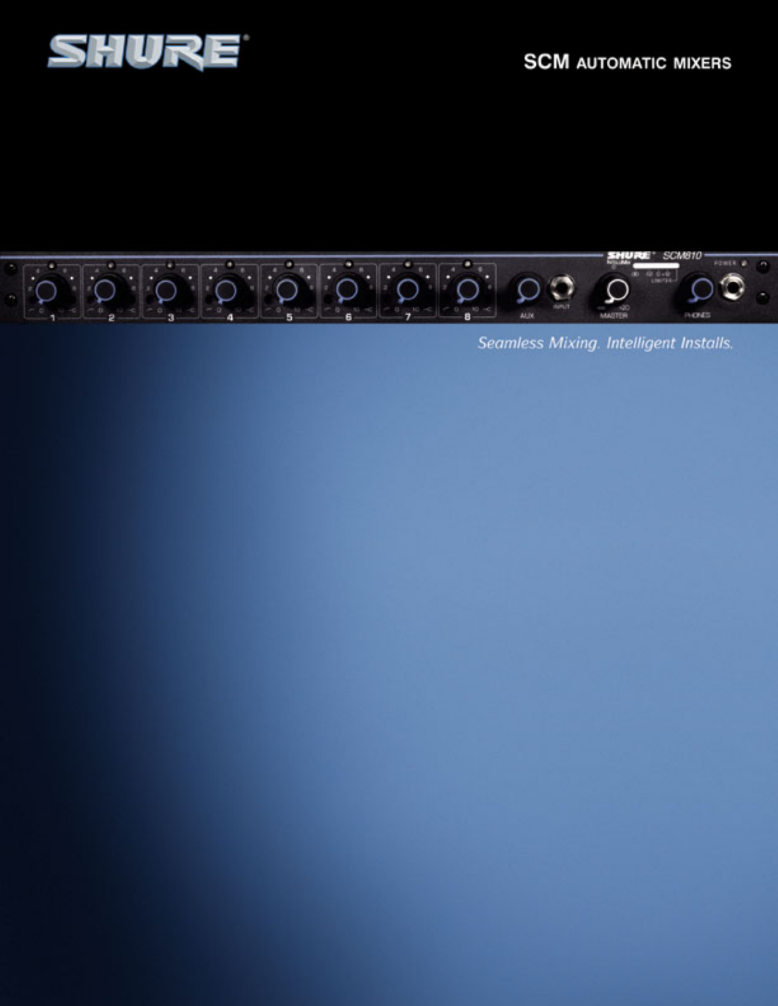



Seamless Mixing. Intelligent Installs.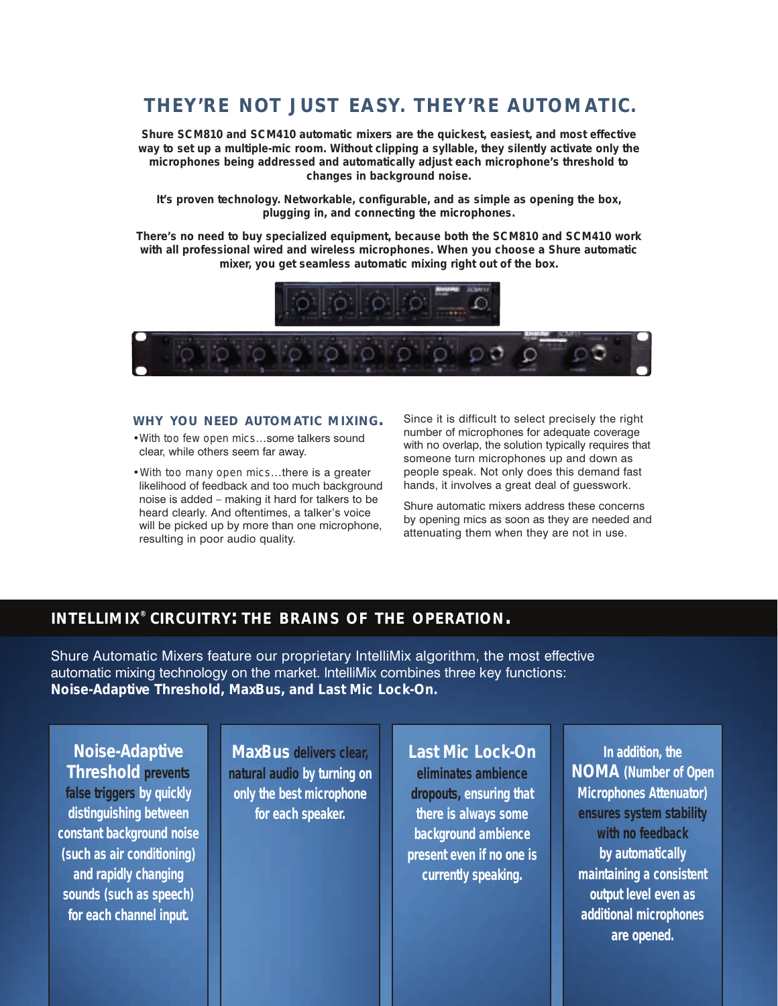## *THEY'RE NOT JUST EASY. THEY'RE AUTOMATIC.*

**Shure SCM810 and SCM410 automatic mixers are the quickest, easiest, and most effective way to set up a multiple-mic room. Without clipping a syllable, they silently activate only the microphones being addressed and automatically adjust each microphone's threshold to changes in background noise.**

**It's proven technology. Networkable, configurable, and as simple as opening the box, plugging in, and connecting the microphones.**

**There's no need to buy specialized equipment, because both the SCM810 and SCM410 work with all professional wired and wireless microphones. When you choose a Shure automatic mixer, you get seamless automatic mixing right out of the box.**



### **WHY YOU NEED AUTOMATIC MIXING.**

- •*With too few open mics*…some talkers sound clear, while others seem far away.
- •*With too many open mics*…there is a greater likelihood of feedback and too much background noise is added – making it hard for talkers to be heard clearly. And oftentimes, a talker's voice will be picked up by more than one microphone, resulting in poor audio quality.

Since it is difficult to select precisely the right number of microphones for adequate coverage with no overlap, the solution typically requires that someone turn microphones up and down as people speak. Not only does this demand fast hands, it involves a great deal of guesswork.

Shure automatic mixers address these concerns by opening mics as soon as they are needed and attenuating them when they are not in use.

### **INTELLIMIX® CIRCUITRY: THE BRAINS OF THE OPERATION.**

Shure Automatic Mixers feature our proprietary IntelliMix algorithm, the most effective automatic mixing technology on the market. lntelliMix combines three key functions: *Noise-Adaptive Threshold, MaxBus, and Last Mic Lock-On.*

*Noise-Adaptive Threshold prevents false triggers* **by quickly distinguishing between constant background noise (such as air conditioning) and rapidly changing sounds (such as speech) for each channel input.**

*MaxBus delivers clear, natural audio* **by turning on only the best microphone for each speaker.**

*Last Mic Lock-On eliminates ambience dropouts,* **ensuring that there is always some background ambience present even if no one is currently speaking.** 

**In addition, the** *NOMA* **(Number of Open Microphones Attenuator)** *ensures system stability with no feedback*  **by automatically maintaining a consistent output level even as additional microphones are opened.**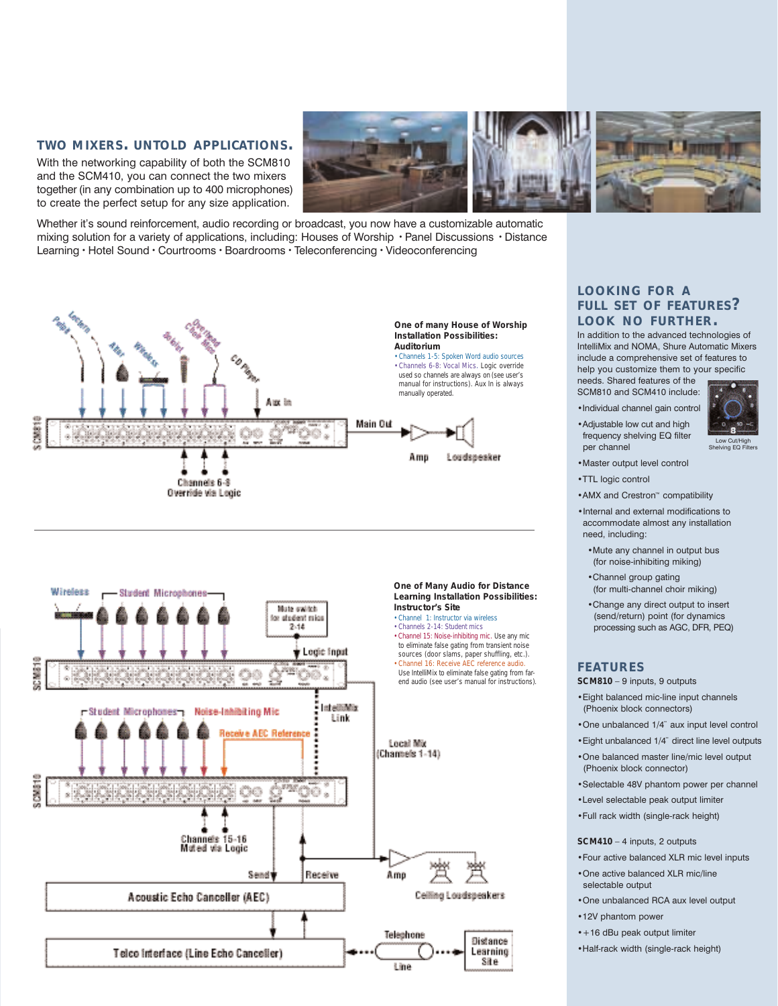### **TWO MIXERS. UNTOLD APPLICATIONS.**

With the networking capability of both the SCM810 and the SCM410, you can connect the two mixers together (in any combination up to 400 microphones) to create the perfect setup for any size application.



Whether it's sound reinforcement, audio recording or broadcast, you now have a customizable automatic mixing solution for a variety of applications, including: Houses of Worship • Panel Discussions • Distance Learning • Hotel Sound • Courtrooms • Boardrooms • Teleconferencing • Videoconferencing





### **LOOKING FOR A FULL SET OF FEATURES? LOOK NO FURTHER.**

In addition to the advanced technologies of IntelliMix and NOMA, Shure Automatic Mixers include a comprehensive set of features to help you customize them to your specific

Low Cut/High Shelving EQ Filters

needs. Shared features of the SCM810 and SCM410 include: •Individual channel gain control

- •Adjustable low cut and high frequency shelving EQ filter per channel
- •Master output level control
- •TTL logic control
- •AMX and Crestron™ compatibility
- •Internal and external modifications to accommodate almost any installation need, including:
	- •Mute any channel in output bus (for noise-inhibiting miking)
	- •Channel group gating (for multi-channel choir miking)
	- •Change any direct output to insert (send/return) point (for dynamics processing such as AGC, DFR, PEQ)

### **FEATURES**

*SCM810* – 9 inputs, 9 outputs

- •Eight balanced mic-line input channels (Phoenix block connectors)
- •One unbalanced 1/4¨ aux input level control
- •Eight unbalanced 1/4¨ direct line level outputs
- •One balanced master line/mic level output (Phoenix block connector)
- •Selectable 48V phantom power per channel
- •Level selectable peak output limiter
- •Full rack width (single-rack height)

*SCM410* – 4 inputs, 2 outputs

- •Four active balanced XLR mic level inputs •One active balanced XLR mic/line
- selectable output
- •One unbalanced RCA aux level output
- •12V phantom power
- •+16 dBu peak output limiter
- •Half-rack width (single-rack height)